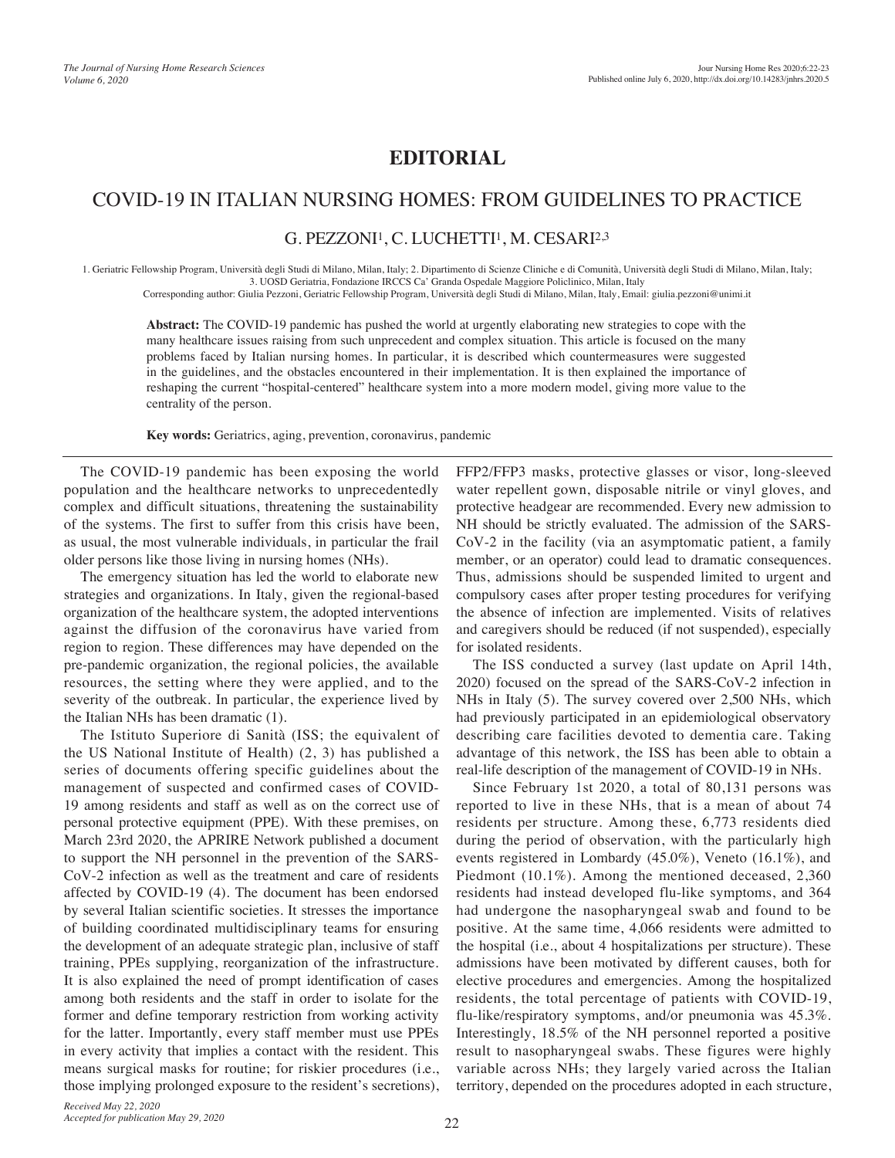# **EDITORIAL**

## COVID-19 IN ITALIAN NURSING HOMES: FROM GUIDELINES TO PRACTICE

### G. PEZZONI<sup>1</sup>, C. LUCHETTI<sup>1</sup>, M. CESARI<sup>2,3</sup>

1. Geriatric Fellowship Program, Università degli Studi di Milano, Milan, Italy; 2. Dipartimento di Scienze Cliniche e di Comunità, Università degli Studi di Milano, Milan, Italy; 3. UOSD Geriatria, Fondazione IRCCS Ca' Granda Ospedale Maggiore Policlinico, Milan, Italy Corresponding author: Giulia Pezzoni, Geriatric Fellowship Program, Università degli Studi di Milano, Milan, Italy, Email: giulia.pezzoni@unimi.it

**Abstract:** The COVID-19 pandemic has pushed the world at urgently elaborating new strategies to cope with the many healthcare issues raising from such unprecedent and complex situation. This article is focused on the many problems faced by Italian nursing homes. In particular, it is described which countermeasures were suggested in the guidelines, and the obstacles encountered in their implementation. It is then explained the importance of reshaping the current "hospital-centered" healthcare system into a more modern model, giving more value to the centrality of the person.

**Key words:** Geriatrics, aging, prevention, coronavirus, pandemic

The COVID-19 pandemic has been exposing the world population and the healthcare networks to unprecedentedly complex and difficult situations, threatening the sustainability of the systems. The first to suffer from this crisis have been, as usual, the most vulnerable individuals, in particular the frail older persons like those living in nursing homes (NHs).

The emergency situation has led the world to elaborate new strategies and organizations. In Italy, given the regional-based organization of the healthcare system, the adopted interventions against the diffusion of the coronavirus have varied from region to region. These differences may have depended on the pre-pandemic organization, the regional policies, the available resources, the setting where they were applied, and to the severity of the outbreak. In particular, the experience lived by the Italian NHs has been dramatic (1).

The Istituto Superiore di Sanità (ISS; the equivalent of the US National Institute of Health) (2, 3) has published a series of documents offering specific guidelines about the management of suspected and confirmed cases of COVID-19 among residents and staff as well as on the correct use of personal protective equipment (PPE). With these premises, on March 23rd 2020, the APRIRE Network published a document to support the NH personnel in the prevention of the SARS-CoV-2 infection as well as the treatment and care of residents affected by COVID-19 (4). The document has been endorsed by several Italian scientific societies. It stresses the importance of building coordinated multidisciplinary teams for ensuring the development of an adequate strategic plan, inclusive of staff training, PPEs supplying, reorganization of the infrastructure. It is also explained the need of prompt identification of cases among both residents and the staff in order to isolate for the former and define temporary restriction from working activity for the latter. Importantly, every staff member must use PPEs in every activity that implies a contact with the resident. This means surgical masks for routine; for riskier procedures (i.e., those implying prolonged exposure to the resident's secretions), FFP2/FFP3 masks, protective glasses or visor, long-sleeved water repellent gown, disposable nitrile or vinyl gloves, and protective headgear are recommended. Every new admission to NH should be strictly evaluated. The admission of the SARS-CoV-2 in the facility (via an asymptomatic patient, a family member, or an operator) could lead to dramatic consequences. Thus, admissions should be suspended limited to urgent and compulsory cases after proper testing procedures for verifying the absence of infection are implemented. Visits of relatives and caregivers should be reduced (if not suspended), especially for isolated residents.

The ISS conducted a survey (last update on April 14th, 2020) focused on the spread of the SARS-CoV-2 infection in NHs in Italy (5). The survey covered over 2,500 NHs, which had previously participated in an epidemiological observatory describing care facilities devoted to dementia care. Taking advantage of this network, the ISS has been able to obtain a real-life description of the management of COVID-19 in NHs.

Since February 1st 2020, a total of 80,131 persons was reported to live in these NHs, that is a mean of about 74 residents per structure. Among these, 6,773 residents died during the period of observation, with the particularly high events registered in Lombardy (45.0%), Veneto (16.1%), and Piedmont (10.1%). Among the mentioned deceased, 2,360 residents had instead developed flu-like symptoms, and 364 had undergone the nasopharyngeal swab and found to be positive. At the same time, 4,066 residents were admitted to the hospital (i.e., about 4 hospitalizations per structure). These admissions have been motivated by different causes, both for elective procedures and emergencies. Among the hospitalized residents, the total percentage of patients with COVID-19, flu-like/respiratory symptoms, and/or pneumonia was 45.3%. Interestingly, 18.5% of the NH personnel reported a positive result to nasopharyngeal swabs. These figures were highly variable across NHs; they largely varied across the Italian territory, depended on the procedures adopted in each structure,